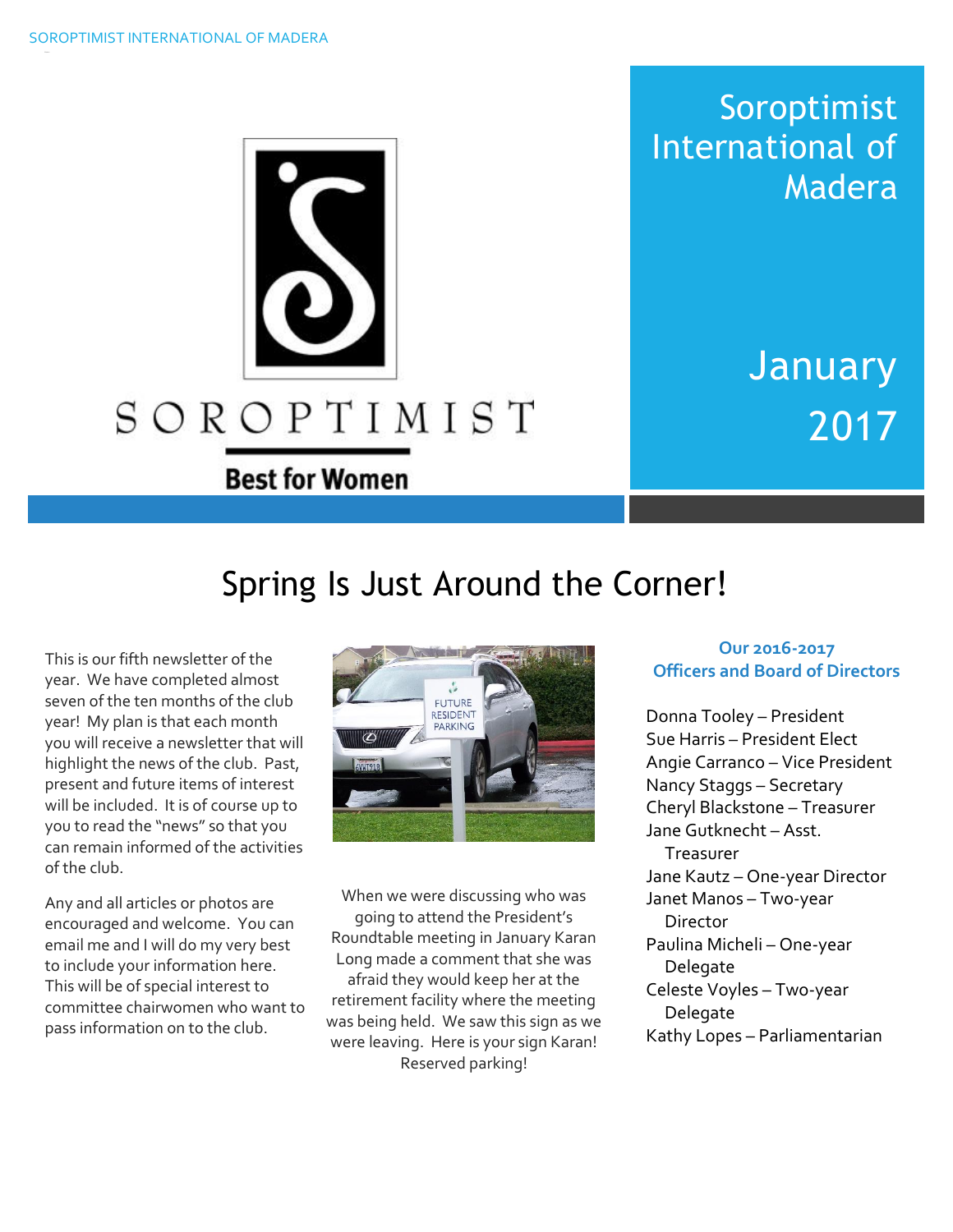Soroptimist International of Madera

> January 2017

# Spring Is Just Around the Corner!

SOROPTIMIST

**Best for Women** 

This is our fifth newsletter of the year. We have completed almost seven of the ten months of the club year! My plan is that each month you will receive a newsletter that will highlight the news of the club. Past, present and future items of interest will be included. It is of course up to you to read the "news" so that you can remain informed of the activities of the club.

Any and all articles or photos are encouraged and welcome. You can email me and I will do my very best to include your information here. This will be of special interest to committee chairwomen who want to pass information on to the club.



When we were discussing who was going to attend the President's Roundtable meeting in January Karan Long made a comment that she was afraid they would keep her at the retirement facility where the meeting was being held. We saw this sign as we were leaving. Here is your sign Karan! Reserved parking!

### **Our 2016-2017 Officers and Board of Directors**

Donna Tooley – President Sue Harris – President Elect Angie Carranco – Vice President Nancy Staggs – Secretary Cheryl Blackstone – Treasurer Jane Gutknecht – Asst. Treasurer Jane Kautz – One-year Director Janet Manos – Two-year Director Paulina Micheli – One-year Delegate Celeste Voyles – Two-year **Delegate** Kathy Lopes – Parliamentarian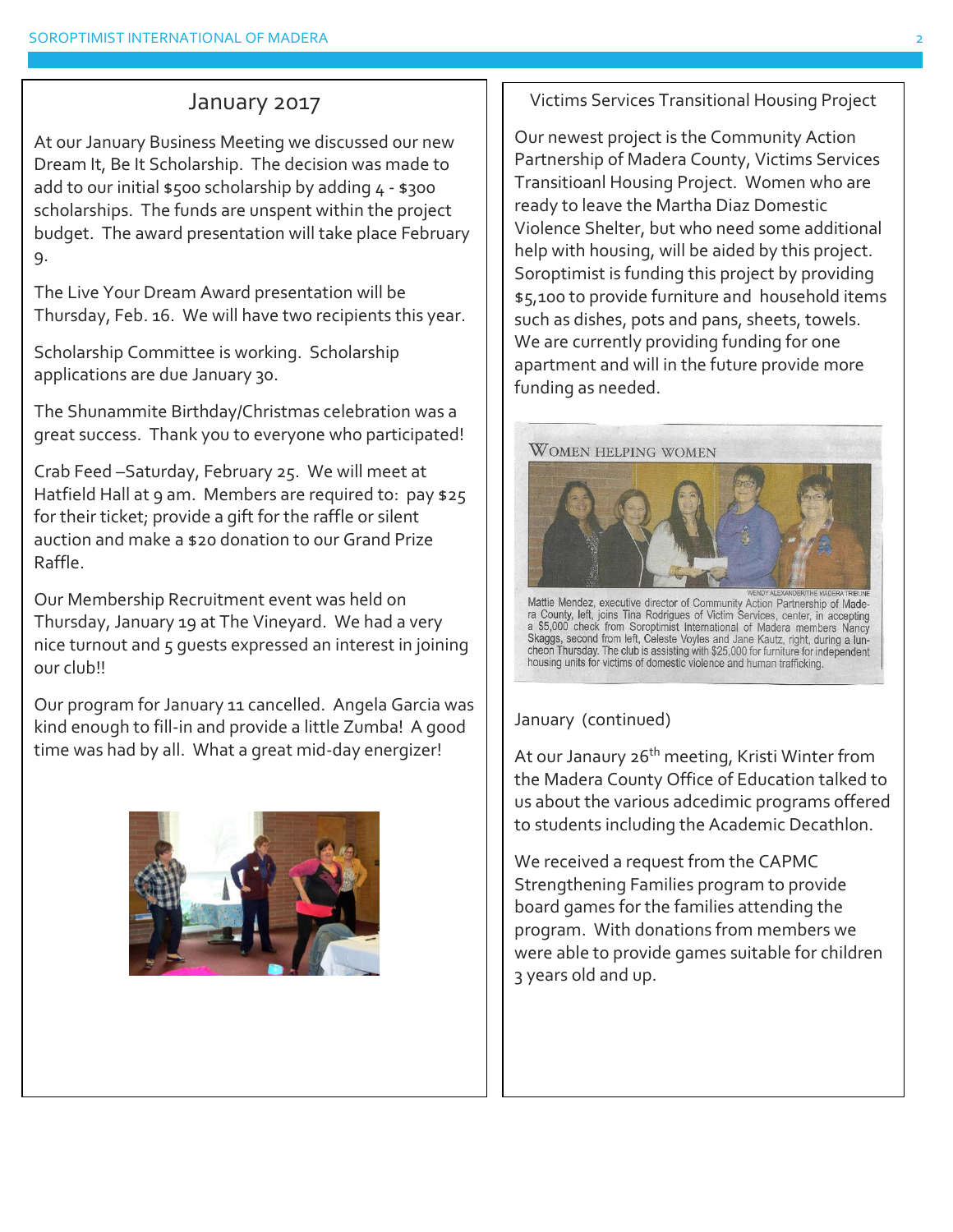### January 2017

At our January Business Meeting we discussed our new Dream It, Be It Scholarship. The decision was made to add to our initial  $$500$  scholarship by adding  $4 - $300$ scholarships. The funds are unspent within the project budget. The award presentation will take place February 9.

The Live Your Dream Award presentation will be Thursday, Feb. 16. We will have two recipients this year.

Scholarship Committee is working. Scholarship applications are due January 30.

The Shunammite Birthday/Christmas celebration was a great success. Thank you to everyone who participated!

Crab Feed –Saturday, February 25. We will meet at Hatfield Hall at 9 am. Members are required to: pay \$25 for their ticket; provide a gift for the raffle or silent auction and make a \$20 donation to our Grand Prize Raffle.

Our Membership Recruitment event was held on Thursday, January 19 at The Vineyard. We had a very nice turnout and 5 guests expressed an interest in joining our club!!

Our program for January 11 cancelled. Angela Garcia was kind enough to fill-in and provide a little Zumba! A good time was had by all. What a great mid-day energizer!



Victims Services Transitional Housing Project

Our newest project is the Community Action Partnership of Madera County, Victims Services Transitioanl Housing Project. Women who are ready to leave the Martha Diaz Domestic Violence Shelter, but who need some additional help with housing, will be aided by this project. Soroptimist is funding this project by providing \$5,100 to provide furniture and household items such as dishes, pots and pans, sheets, towels. We are currently providing funding for one apartment and will in the future provide more funding as needed.



Mattie Mendez, executive director of Community Action Partners/MEERANDER/THE MADERA TRIBUNE<br>Tra County, left, joins Tina Rodrigues of Victim Services, center, in accepting<br>a \$5,000 check from Soroptimist International of M

January (continued)

At our Janaury 26<sup>th</sup> meeting, Kristi Winter from the Madera County Office of Education talked to us about the various adcedimic programs offered to students including the Academic Decathlon.

We received a request from the CAPMC Strengthening Families program to provide board games for the families attending the program. With donations from members we were able to provide games suitable for children 3 years old and up.